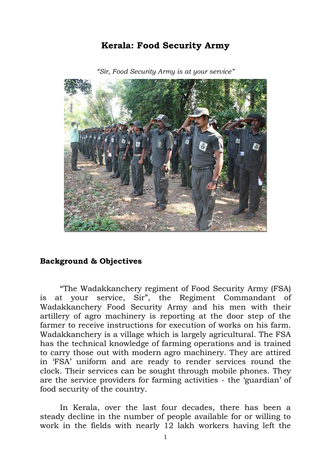## **Kerala: Food Security Army**



*"Sir, Food Security Army is at your service"* 

## **Background & Objectives**

"The Wadakkanchery regiment of Food Security Army (FSA) is at your service, Sir", the Regiment Commandant of Wadakkanchery Food Security Army and his men with their artillery of agro machinery is reporting at the door step of the farmer to receive instructions for execution of works on his farm. Wadakkanchery is a village which is largely agricultural. The FSA has the technical knowledge of farming operations and is trained to carry those out with modern agro machinery. They are attired in "FSA" uniform and are ready to render services round the clock. Their services can be sought through mobile phones. They are the service providers for farming activities - the "guardian" of food security of the country.

In Kerala, over the last four decades, there has been a steady decline in the number of people available for or willing to work in the fields with nearly 12 lakh workers having left the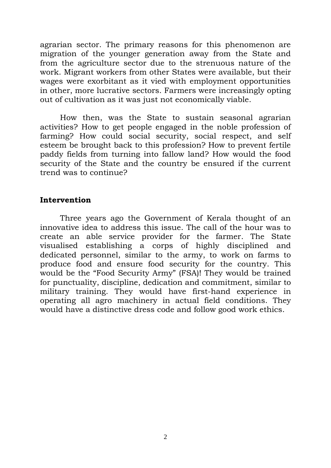agrarian sector. The primary reasons for this phenomenon are migration of the younger generation away from the State and from the agriculture sector due to the strenuous nature of the work. Migrant workers from other States were available, but their wages were exorbitant as it vied with employment opportunities in other, more lucrative sectors. Farmers were increasingly opting out of cultivation as it was just not economically viable.

How then, was the State to sustain seasonal agrarian activities? How to get people engaged in the noble profession of farming? How could social security, social respect, and self esteem be brought back to this profession? How to prevent fertile paddy fields from turning into fallow land? How would the food security of the State and the country be ensured if the current trend was to continue?

## **Intervention**

Three years ago the Government of Kerala thought of an innovative idea to address this issue. The call of the hour was to create an able service provider for the farmer. The State visualised establishing a corps of highly disciplined and dedicated personnel, similar to the army, to work on farms to produce food and ensure food security for the country. This would be the "Food Security Army" (FSA)! They would be trained for punctuality, discipline, dedication and commitment, similar to military training. They would have first-hand experience in operating all agro machinery in actual field conditions. They would have a distinctive dress code and follow good work ethics.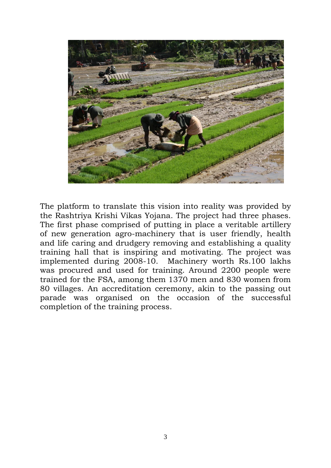

The platform to translate this vision into reality was provided by the Rashtriya Krishi Vikas Yojana. The project had three phases. The first phase comprised of putting in place a veritable artillery of new generation agro-machinery that is user friendly, health and life caring and drudgery removing and establishing a quality training hall that is inspiring and motivating. The project was implemented during 2008-10. Machinery worth Rs.100 lakhs was procured and used for training. Around 2200 people were trained for the FSA, among them 1370 men and 830 women from 80 villages. An accreditation ceremony, akin to the passing out parade was organised on the occasion of the successful completion of the training process.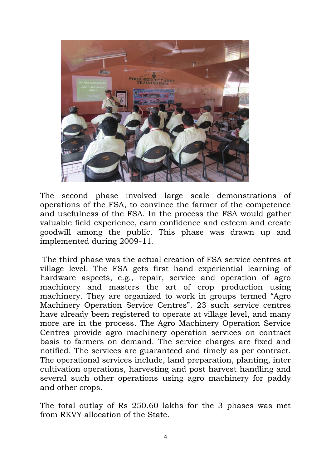

The second phase involved large scale demonstrations of operations of the FSA, to convince the farmer of the competence and usefulness of the FSA. In the process the FSA would gather valuable field experience, earn confidence and esteem and create goodwill among the public. This phase was drawn up and implemented during 2009-11.

The third phase was the actual creation of FSA service centres at village level. The FSA gets first hand experiential learning of hardware aspects, e.g., repair, service and operation of agro machinery and masters the art of crop production using machinery. They are organized to work in groups termed "Agro Machinery Operation Service Centres". 23 such service centres have already been registered to operate at village level, and many more are in the process. The Agro Machinery Operation Service Centres provide agro machinery operation services on contract basis to farmers on demand. The service charges are fixed and notified. The services are guaranteed and timely as per contract. The operational services include, land preparation, planting, inter cultivation operations, harvesting and post harvest handling and several such other operations using agro machinery for paddy and other crops.

The total outlay of Rs 250.60 lakhs for the 3 phases was met from RKVY allocation of the State.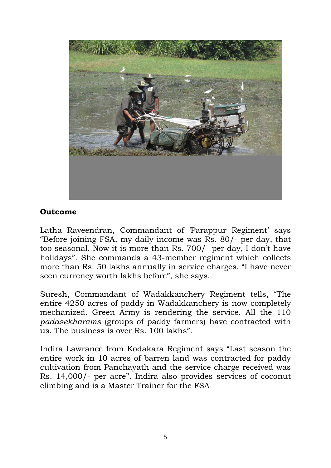

## **Outcome**

Latha Raveendran, Commandant of 'Parappur Regiment' says "Before joining FSA, my daily income was Rs. 80/- per day, that too seasonal. Now it is more than Rs. 700/- per day, I don"t have holidays". She commands a 43-member regiment which collects more than Rs. 50 lakhs annually in service charges. "I have never seen currency worth lakhs before", she says.

Suresh, Commandant of Wadakkanchery Regiment tells, "The entire 4250 acres of paddy in Wadakkanchery is now completely mechanized. Green Army is rendering the service. All the 110 *padasekharams* (groups of paddy farmers) have contracted with us. The business is over Rs. 100 lakhs".

Indira Lawrance from Kodakara Regiment says "Last season the entire work in 10 acres of barren land was contracted for paddy cultivation from Panchayath and the service charge received was Rs. 14,000/- per acre". Indira also provides services of coconut climbing and is a Master Trainer for the FSA